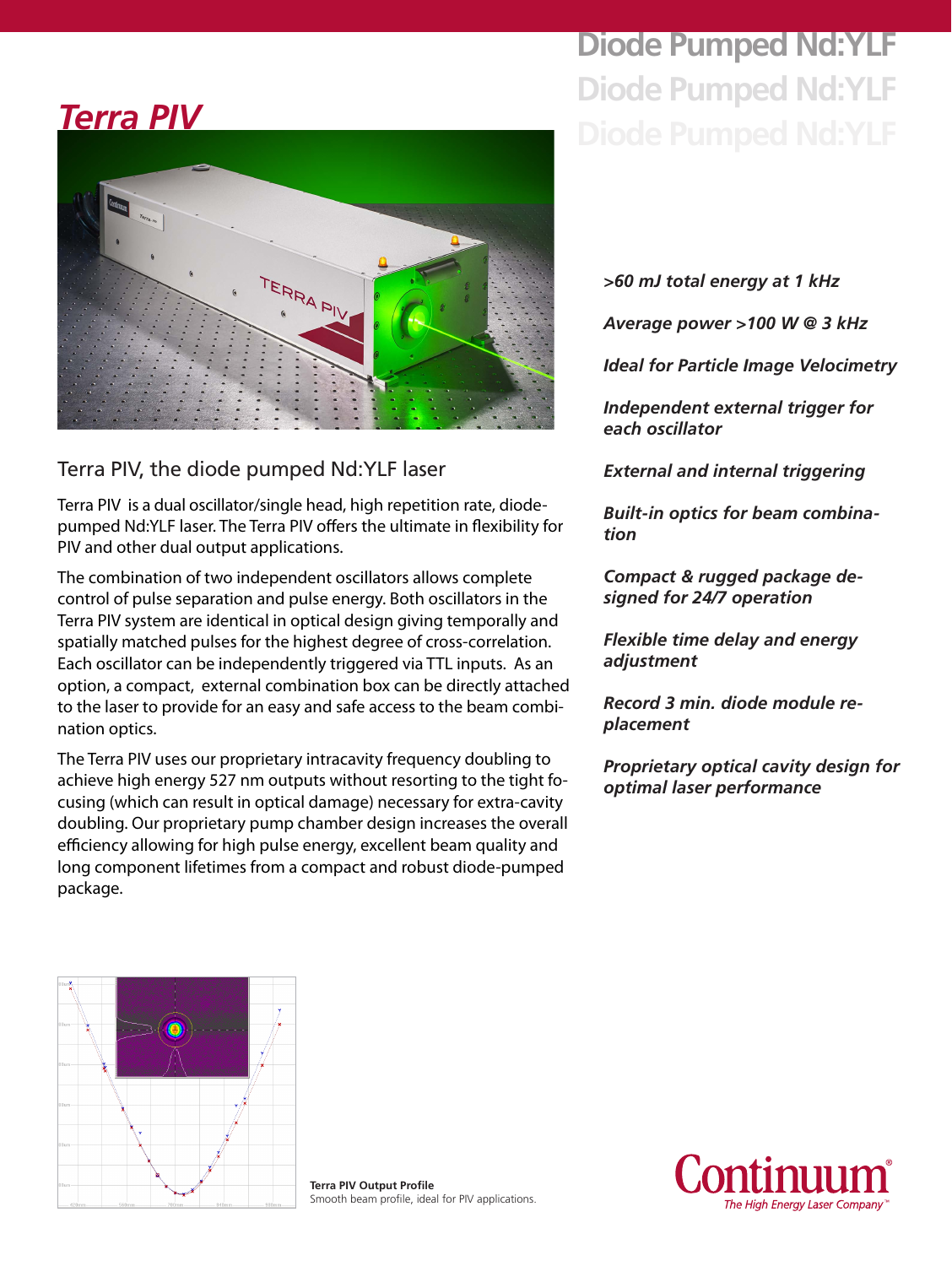# **Diode Pumped Nd:YLF Diode Pumped Nd:YLF**

# *Terra PIV*



### Terra PIV, the diode pumped Nd:YLF laser

Terra PIV is a dual oscillator/single head, high repetition rate, diodepumped Nd:YLF laser. The Terra PIV offers the ultimate in flexibility for PIV and other dual output applications.

The combination of two independent oscillators allows complete control of pulse separation and pulse energy. Both oscillators in the Terra PIV system are identical in optical design giving temporally and spatially matched pulses for the highest degree of cross-correlation. Each oscillator can be independently triggered via TTL inputs. As an option, a compact, external combination box can be directly attached to the laser to provide for an easy and safe access to the beam combination optics.

The Terra PIV uses our proprietary intracavity frequency doubling to achieve high energy 527 nm outputs without resorting to the tight focusing (which can result in optical damage) necessary for extra-cavity doubling. Our proprietary pump chamber design increases the overall efficiency allowing for high pulse energy, excellent beam quality and long component lifetimes from a compact and robust diode-pumped package.

*>60 mJ total energy at 1 kHz*

*Average power >100 W @ 3 kHz*

*Ideal for Particle Image Velocimetry*

*Independent external trigger for each oscillator*

*External and internal triggering*

*Built-in optics for beam combination*

*Compact & rugged package designed for 24/7 operation*

*Flexible time delay and energy adjustment*

*Record 3 min. diode module replacement* 

*Proprietary optical cavity design for optimal laser performance*



**Terra PIV Output Profile** Smooth beam profile, ideal for PIV applications.

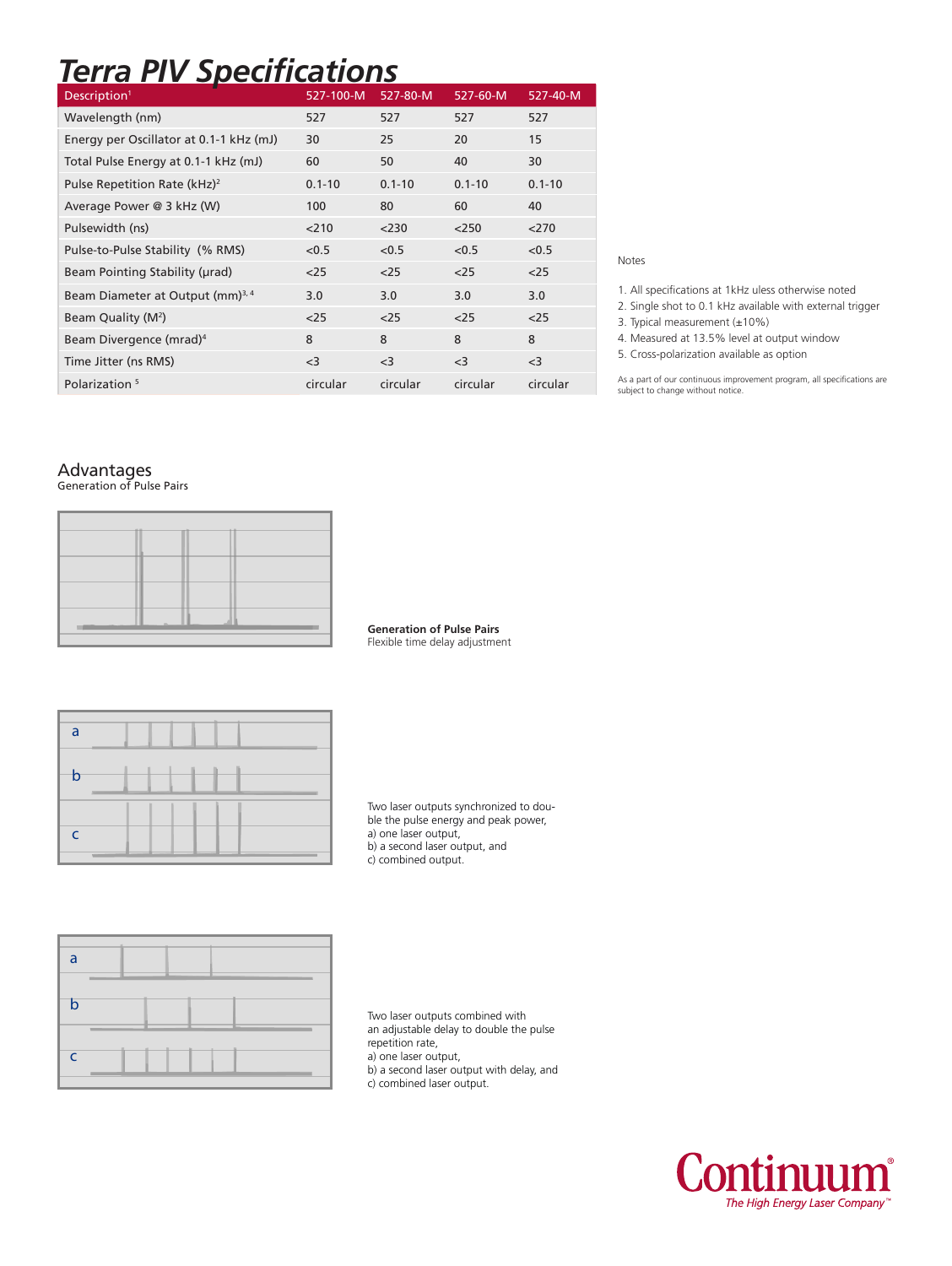## *Terra PIV Specifications*

| Description <sup>1</sup>                     | 527-100-M  | 527-80-M   | 527-60-M   | 527-40-M   |
|----------------------------------------------|------------|------------|------------|------------|
| Wavelength (nm)                              | 527        | 527        | 527        | 527        |
| Energy per Oscillator at 0.1-1 kHz (mJ)      | 30         | 25         | 20         | 15         |
| Total Pulse Energy at 0.1-1 kHz (mJ)         | 60         | 50         | 40         | 30         |
| Pulse Repetition Rate (kHz) <sup>2</sup>     | $0.1 - 10$ | $0.1 - 10$ | $0.1 - 10$ | $0.1 - 10$ |
| Average Power @ 3 kHz (W)                    | 100        | 80         | 60         | 40         |
| Pulsewidth (ns)                              | 210        | $<$ 230    | 250        | 270        |
| Pulse-to-Pulse Stability (% RMS)             | < 0.5      | < 0.5      | < 0.5      | < 0.5      |
| Beam Pointing Stability (urad)               | $25$       | $25$       | $<$ 25     | $<$ 25     |
| Beam Diameter at Output (mm) <sup>3, 4</sup> | 3.0        | 3.0        | 3.0        | 3.0        |
| Beam Quality (M <sup>2</sup> )               | $25$       | $25$       | $25$       | $25$       |
| Beam Divergence (mrad) <sup>4</sup>          | 8          | 8          | 8          | 8          |
| Time Jitter (ns RMS)                         | $<$ 3      | $<$ 3      | $<$ 3      | $<$ 3      |
| Polarization <sup>5</sup>                    | circular   | circular   | circular   | circular   |

#### Notes

1. All specifications at 1kHz uless otherwise noted

2. Single shot to 0.1 kHz available with external trigger

3. Typical measurement (±10%)

4. Measured at 13.5% level at output window

5. Cross-polarization available as option

As a part of our continuous improvement program, all specifications are subject to change without notice.

#### Advantages

Generation of Pulse Pairs

**Generation of Pulse Pairs** Flexible time delay adjustment



Two laser outputs synchronized to double the pulse energy and peak power, a) one laser output, b) a second laser output, and c) combined output.



Two laser outputs combined with an adjustable delay to double the pulse repetition rate, a) one laser output, b) a second laser output with delay, and c) combined laser output.